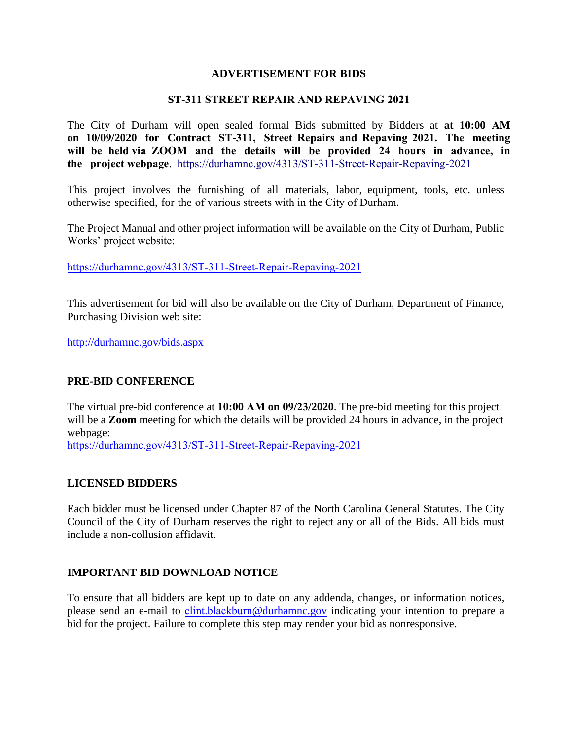## **ADVERTISEMENT FOR BIDS**

#### **ST-311 STREET REPAIR AND REPAVING 2021**

The City of Durham will open sealed formal Bids submitted by Bidders at **at 10:00 AM on 10/09/2020 for Contract ST-311, Street Repairs and Repaving 2021. The meeting will be held via ZOOM and the details will be provided 24 hours in advance, in the project webpage**. https://durhamnc.gov/4313/ST-311-Street-Repair-Repaving-2021

This project involves the furnishing of all materials, labor, equipment, tools, etc. unless otherwise specified, for the of various streets with in the City of Durham.

[The Project Manual and other project information will be a](https://durhamnc.gov/4305/ST-306-Road-Rebuilding-2020)vailable on the City of Durham, Public Works' project website:

https://durhamnc.gov/4313/ST-311-Street-Repair-Repaving-2021

This advertisement for bid will also be available on the City of Durham, Department of Finance, Purchasing Division web site:

http://durhamnc.gov/bids.aspx

#### **PRE-BID CONFERENCE**

The virtual pre-bid conference at **10:00 AM on 09/23/2020**. The pre-bid meeting for this project will be a **Zoom** meeting for which the details will be provided 24 hours in advance, in the project [webpage:](https://durhamnc.gov/4256/2021-Petition-Streets-ST-286) 

https://durhamnc.gov/4313/ST-311-Street-Repair-Repaving-2021

## **LICENSED BIDDERS**

Each bidder must be licensed under Chapter 87 of the North Carolina General Statutes. The City Council of the City of Durham reserves the right to reject any or all of the Bids. All bids must include a non-collusion affidavit.

## **IMPORTANT BID DOWNLOAD NOTICE**

To ensure that all bidders are kept up to date on any addenda, changes, or information notices, please send an e-mail to clint.blackburn[@durhamnc.gov](mailto:Erik.Adkins@durhamnc.gov) indicating your intention to prepare a bid for the project. Failure to complete this step may render your bid as nonresponsive.